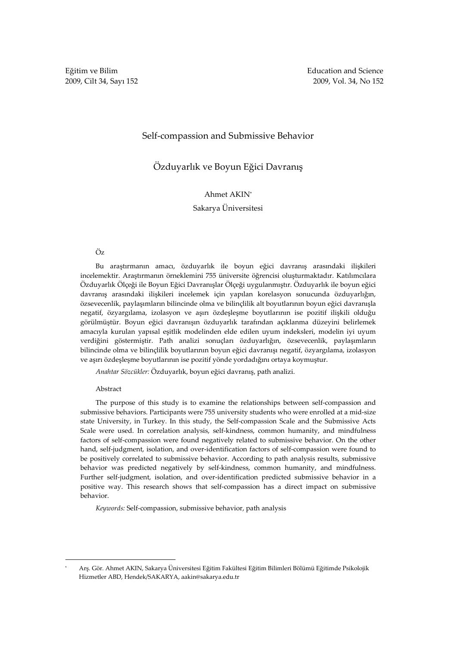# Self-compassion and Submissive Behavior

# Özduyarlık ve Boyun Eğici Davranış

# Ahmet AKIN\*

# Sakarya Üniversitesi

# Öz

Bu araştırmanın amacı, özduyarlık ile boyun eğici davranış arasındaki ilişkileri incelemektir. Araştırmanın örneklemini 755 üniversite öğrencisi oluşturmaktadır. Katılımcılara Özduyarlık Ölçeği ile Boyun Eğici Davranışlar Ölçeği uygulanmıştır. Özduyarlık ile boyun eğici davranış arasındaki ilişkileri incelemek için yapılan korelasyon sonucunda özduyarlığın, özsevecenlik, paylaşımların bilincinde olma ve bilinçlilik alt boyutlarının boyun eğici davranışla negatif, özyargılama, izolasyon ve aşırı özdeşleşme boyutlarının ise pozitif ilişkili olduğu görülmüştür. Boyun eğici davranışın özduyarlık tarafından açıklanma düzeyini belirlemek amacıyla kurulan yapısal eşitlik modelinden elde edilen uyum indeksleri, modelin iyi uyum verdiğini göstermiştir. Path analizi sonuçları özduyarlığın, özsevecenlik, paylaşımların bilincinde olma ve bilinçlilik boyutlarının boyun eğici davranışı negatif, özyargılama, izolasyon ve aşırı özdeşleşme boyutlarının ise pozitif yönde yordadığını ortaya koymuştur.

Anahtar Sözcükler: Özduyarlık, boyun eğici davranış, path analizi.

### Abstract

 $\overline{a}$ 

The purpose of this study is to examine the relationships between self-compassion and submissive behaviors. Participants were 755 university students who were enrolled at a mid-size state University, in Turkey. In this study, the Self-compassion Scale and the Submissive Acts Scale were used. In correlation analysis, self-kindness, common humanity, and mindfulness factors of self-compassion were found negatively related to submissive behavior. On the other hand, self-judgment, isolation, and over-identification factors of self-compassion were found to be positively correlated to submissive behavior. According to path analysis results, submissive behavior was predicted negatively by self-kindness, common humanity, and mindfulness. Further self-judgment, isolation, and over-identification predicted submissive behavior in a positive way. This research shows that self-compassion has a direct impact on submissive behavior.

Keywords: Self-compassion, submissive behavior, path analysis

<sup>\*</sup> Arş. Gör. Ahmet AKIN, Sakarya Üniversitesi Eğitim Fakültesi Eğitim Bilimleri Bölümü Eğitimde Psikolojik Hizmetler ABD, Hendek/SAKARYA, aakin@sakarya.edu.tr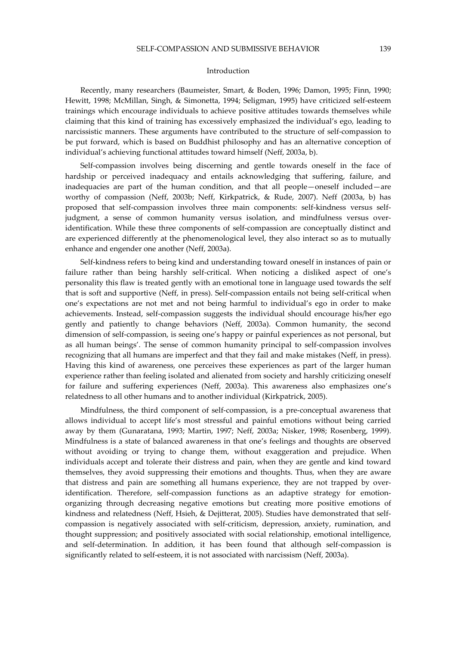### Introduction

Recently, many researchers (Baumeister, Smart, & Boden, 1996; Damon, 1995; Finn, 1990; Hewitt, 1998; McMillan, Singh, & Simonetta, 1994; Seligman, 1995) have criticized self-esteem trainings which encourage individuals to achieve positive attitudes towards themselves while claiming that this kind of training has excessively emphasized the individual's ego, leading to narcissistic manners. These arguments have contributed to the structure of self-compassion to be put forward, which is based on Buddhist philosophy and has an alternative conception of individual's achieving functional attitudes toward himself (Neff, 2003a, b).

Self-compassion involves being discerning and gentle towards oneself in the face of hardship or perceived inadequacy and entails acknowledging that suffering, failure, and inadequacies are part of the human condition, and that all people—oneself included—are worthy of compassion (Neff, 2003b; Neff, Kirkpatrick, & Rude, 2007). Neff (2003a, b) has proposed that self-compassion involves three main components: self-kindness versus selfjudgment, a sense of common humanity versus isolation, and mindfulness versus overidentification. While these three components of self-compassion are conceptually distinct and are experienced differently at the phenomenological level, they also interact so as to mutually enhance and engender one another (Neff, 2003a).

Self-kindness refers to being kind and understanding toward oneself in instances of pain or failure rather than being harshly self-critical. When noticing a disliked aspect of one's personality this flaw is treated gently with an emotional tone in language used towards the self that is soft and supportive (Neff, in press). Self-compassion entails not being self-critical when one's expectations are not met and not being harmful to individual's ego in order to make achievements. Instead, self-compassion suggests the individual should encourage his/her ego gently and patiently to change behaviors (Neff, 2003a). Common humanity, the second dimension of self-compassion, is seeing one's happy or painful experiences as not personal, but as all human beings'. The sense of common humanity principal to self-compassion involves recognizing that all humans are imperfect and that they fail and make mistakes (Neff, in press). Having this kind of awareness, one perceives these experiences as part of the larger human experience rather than feeling isolated and alienated from society and harshly criticizing oneself for failure and suffering experiences (Neff, 2003a). This awareness also emphasizes one's relatedness to all other humans and to another individual (Kirkpatrick, 2005).

Mindfulness, the third component of self-compassion, is a pre-conceptual awareness that allows individual to accept life's most stressful and painful emotions without being carried away by them (Gunaratana, 1993; Martin, 1997; Neff, 2003a; Nisker, 1998; Rosenberg, 1999). Mindfulness is a state of balanced awareness in that one's feelings and thoughts are observed without avoiding or trying to change them, without exaggeration and prejudice. When individuals accept and tolerate their distress and pain, when they are gentle and kind toward themselves, they avoid suppressing their emotions and thoughts. Thus, when they are aware that distress and pain are something all humans experience, they are not trapped by overidentification. Therefore, self-compassion functions as an adaptive strategy for emotionorganizing through decreasing negative emotions but creating more positive emotions of kindness and relatedness (Neff, Hsieh, & Dejitterat, 2005). Studies have demonstrated that selfcompassion is negatively associated with self-criticism, depression, anxiety, rumination, and thought suppression; and positively associated with social relationship, emotional intelligence, and self-determination. In addition, it has been found that although self-compassion is significantly related to self-esteem, it is not associated with narcissism (Neff, 2003a).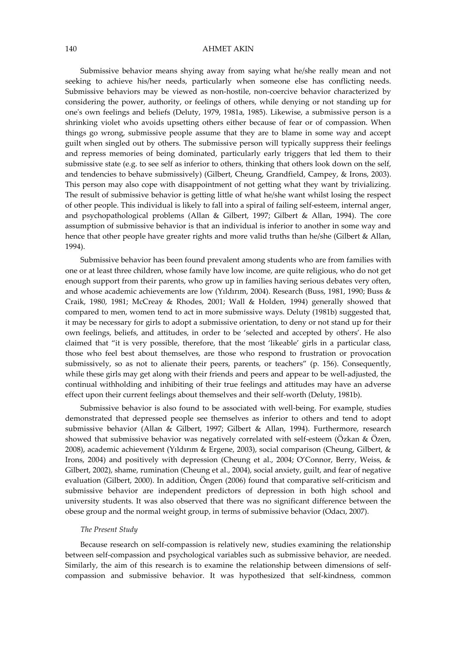### 140 AHMET AKIN

Submissive behavior means shying away from saying what he/she really mean and not seeking to achieve his/her needs, particularly when someone else has conflicting needs. Submissive behaviors may be viewed as non-hostile, non-coercive behavior characterized by considering the power, authority, or feelings of others, while denying or not standing up for one's own feelings and beliefs (Deluty, 1979, 1981a, 1985). Likewise, a submissive person is a shrinking violet who avoids upsetting others either because of fear or of compassion. When things go wrong, submissive people assume that they are to blame in some way and accept guilt when singled out by others. The submissive person will typically suppress their feelings and repress memories of being dominated, particularly early triggers that led them to their submissive state (e.g. to see self as inferior to others, thinking that others look down on the self, and tendencies to behave submissively) (Gilbert, Cheung, Grandfield, Campey, & Irons, 2003). This person may also cope with disappointment of not getting what they want by trivializing. The result of submissive behavior is getting little of what he/she want whilst losing the respect of other people. This individual is likely to fall into a spiral of failing self-esteem, internal anger, and psychopathological problems (Allan & Gilbert, 1997; Gilbert & Allan, 1994). The core assumption of submissive behavior is that an individual is inferior to another in some way and hence that other people have greater rights and more valid truths than he/she (Gilbert & Allan, 1994).

Submissive behavior has been found prevalent among students who are from families with one or at least three children, whose family have low income, are quite religious, who do not get enough support from their parents, who grow up in families having serious debates very often, and whose academic achievements are low (Yıldırım, 2004). Research (Buss, 1981, 1990; Buss & Craik, 1980, 1981; McCreay & Rhodes, 2001; Wall & Holden, 1994) generally showed that compared to men, women tend to act in more submissive ways. Deluty (1981b) suggested that, it may be necessary for girls to adopt a submissive orientation, to deny or not stand up for their own feelings, beliefs, and attitudes, in order to be 'selected and accepted by others'. He also claimed that "it is very possible, therefore, that the most 'likeable' girls in a particular class, those who feel best about themselves, are those who respond to frustration or provocation submissively, so as not to alienate their peers, parents, or teachers" (p. 156). Consequently, while these girls may get along with their friends and peers and appear to be well-adjusted, the continual withholding and inhibiting of their true feelings and attitudes may have an adverse effect upon their current feelings about themselves and their self-worth (Deluty, 1981b).

Submissive behavior is also found to be associated with well-being. For example, studies demonstrated that depressed people see themselves as inferior to others and tend to adopt submissive behavior (Allan & Gilbert, 1997; Gilbert & Allan, 1994). Furthermore, research showed that submissive behavior was negatively correlated with self-esteem (Özkan & Özen, 2008), academic achievement (Yıldırım & Ergene, 2003), social comparison (Cheung, Gilbert, & Irons, 2004) and positively with depression (Cheung et al., 2004; O'Connor, Berry, Weiss, & Gilbert, 2002), shame, rumination (Cheung et al., 2004), social anxiety, guilt, and fear of negative evaluation (Gilbert, 2000). In addition, Öngen (2006) found that comparative self-criticism and submissive behavior are independent predictors of depression in both high school and university students. It was also observed that there was no significant difference between the obese group and the normal weight group, in terms of submissive behavior (Odacı, 2007).

## The Present Study

Because research on self-compassion is relatively new, studies examining the relationship between self-compassion and psychological variables such as submissive behavior, are needed. Similarly, the aim of this research is to examine the relationship between dimensions of selfcompassion and submissive behavior. It was hypothesized that self-kindness, common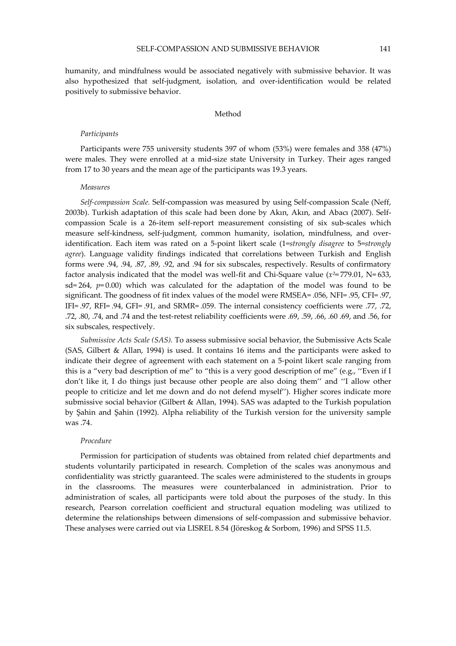humanity, and mindfulness would be associated negatively with submissive behavior. It was also hypothesized that self-judgment, isolation, and over-identification would be related positively to submissive behavior.

# Method

#### Participants

Participants were 755 university students 397 of whom (53%) were females and 358 (47%) were males. They were enrolled at a mid-size state University in Turkey. Their ages ranged from 17 to 30 years and the mean age of the participants was 19.3 years.

### Measures

Self-compassion Scale. Self-compassion was measured by using Self-compassion Scale (Neff, 2003b). Turkish adaptation of this scale had been done by Akın, Akın, and Abacı (2007). Selfcompassion Scale is a 26-item self-report measurement consisting of six sub-scales which measure self-kindness, self-judgment, common humanity, isolation, mindfulness, and overidentification. Each item was rated on a 5-point likert scale (1=strongly disagree to 5=strongly agree). Language validity findings indicated that correlations between Turkish and English forms were .94, .94, .87, .89, .92, and .94 for six subscales, respectively. Results of confirmatory factor analysis indicated that the model was well-fit and Chi-Square value ( $x^2 = 779.01$ , N= 633, sd= 264,  $p= 0.00$ ) which was calculated for the adaptation of the model was found to be significant. The goodness of fit index values of the model were RMSEA= .056, NFI= .95, CFI= .97, IFI= .97, RFI= .94, GFI= .91, and SRMR= .059. The internal consistency coefficients were .77, .72, .72, .80, .74, and .74 and the test-retest reliability coefficients were .69, .59, .66, .60 .69, and .56, for six subscales, respectively.

Submissive Acts Scale (SAS). To assess submissive social behavior, the Submissive Acts Scale (SAS, Gilbert & Allan, 1994) is used. It contains 16 items and the participants were asked to indicate their degree of agreement with each statement on a 5-point likert scale ranging from this is a "very bad description of me" to "this is a very good description of me" (e.g., ''Even if I don't like it, I do things just because other people are also doing them'' and ''I allow other people to criticize and let me down and do not defend myself''). Higher scores indicate more submissive social behavior (Gilbert & Allan, 1994). SAS was adapted to the Turkish population by Şahin and Şahin (1992). Alpha reliability of the Turkish version for the university sample was .74.

#### Procedure

Permission for participation of students was obtained from related chief departments and students voluntarily participated in research. Completion of the scales was anonymous and confidentiality was strictly guaranteed. The scales were administered to the students in groups in the classrooms. The measures were counterbalanced in administration. Prior to administration of scales, all participants were told about the purposes of the study. In this research, Pearson correlation coefficient and structural equation modeling was utilized to determine the relationships between dimensions of self-compassion and submissive behavior. These analyses were carried out via LISREL 8.54 (Jöreskog & Sorbom, 1996) and SPSS 11.5.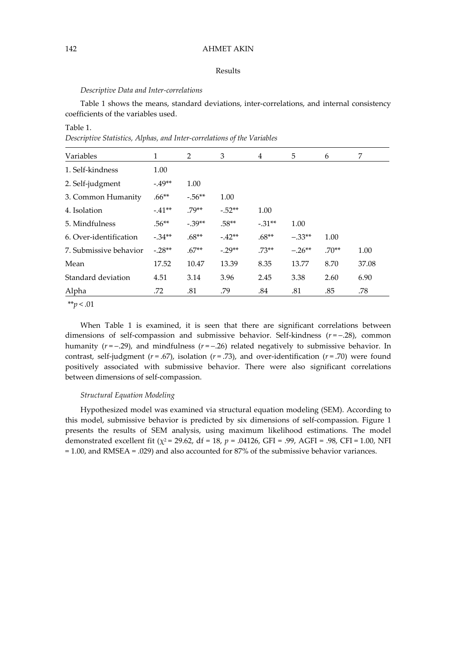# 142 AHMET AKIN

# Results

# Descriptive Data and Inter-correlations

Table 1 shows the means, standard deviations, inter-correlations, and internal consistency coefficients of the variables used.

# Table 1.

Descriptive Statistics, Alphas, and Inter-correlations of the Variables

| Variables              | 1        | 2        | 3        | 4        | 5        | 6       | 7     |
|------------------------|----------|----------|----------|----------|----------|---------|-------|
| 1. Self-kindness       | 1.00     |          |          |          |          |         |       |
| 2. Self-judgment       | $-49**$  | 1.00     |          |          |          |         |       |
| 3. Common Humanity     | $.66**$  | $-.56**$ | 1.00     |          |          |         |       |
| 4. Isolation           | $-.41**$ | .79**    | $-.52**$ | 1.00     |          |         |       |
| 5. Mindfulness         | $.56**$  | $-.39**$ | $.58**$  | $-.31**$ | 1.00     |         |       |
| 6. Over-identification | $-.34**$ | $.68**$  | $-.42**$ | $.68**$  | $-.33**$ | 1.00    |       |
| 7. Submissive behavior | $-.28**$ | $.67**$  | $-29**$  | $.73**$  | $-.26**$ | $.70**$ | 1.00  |
| Mean                   | 17.52    | 10.47    | 13.39    | 8.35     | 13.77    | 8.70    | 37.08 |
| Standard deviation     | 4.51     | 3.14     | 3.96     | 2.45     | 3.38     | 2.60    | 6.90  |
| Alpha                  | .72      | .81      | .79      | .84      | .81      | .85     | .78   |

\*\* $p < .01$ 

When Table 1 is examined, it is seen that there are significant correlations between dimensions of self-compassion and submissive behavior. Self-kindness  $(r = -0.28)$ , common humanity  $(r = -0.29)$ , and mindfulness  $(r = -0.26)$  related negatively to submissive behavior. In contrast, self-judgment ( $r = .67$ ), isolation ( $r = .73$ ), and over-identification ( $r = .70$ ) were found positively associated with submissive behavior. There were also significant correlations between dimensions of self-compassion.

## Structural Equation Modeling

Hypothesized model was examined via structural equation modeling (SEM). According to this model, submissive behavior is predicted by six dimensions of self-compassion. Figure 1 presents the results of SEM analysis, using maximum likelihood estimations. The model demonstrated excellent fit ( $\chi^2$  = 29.62, df = 18, p = .04126, GFI = .99, AGFI = .98, CFI = 1.00, NFI = 1.00, and RMSEA = .029) and also accounted for 87% of the submissive behavior variances.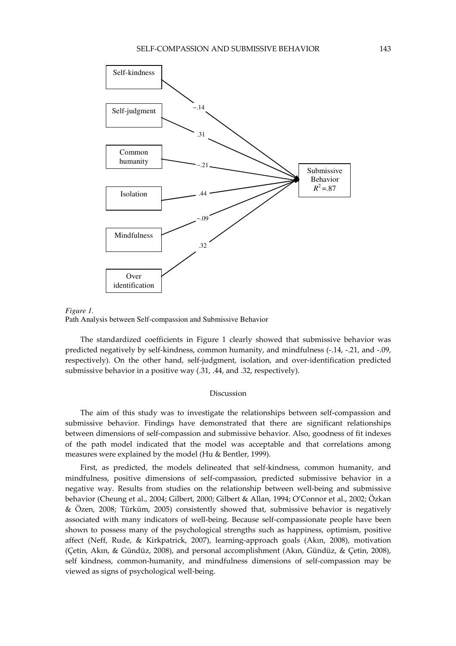



Path Analysis between Self-compassion and Submissive Behavior

The standardized coefficients in Figure 1 clearly showed that submissive behavior was predicted negatively by self-kindness, common humanity, and mindfulness (-.14, -.21, and -.09, respectively). On the other hand, self-judgment, isolation, and over-identification predicted submissive behavior in a positive way (.31, .44, and .32, respectively).

### Discussion

The aim of this study was to investigate the relationships between self-compassion and submissive behavior. Findings have demonstrated that there are significant relationships between dimensions of self-compassion and submissive behavior. Also, goodness of fit indexes of the path model indicated that the model was acceptable and that correlations among measures were explained by the model (Hu & Bentler, 1999).

First, as predicted, the models delineated that self-kindness, common humanity, and mindfulness, positive dimensions of self-compassion, predicted submissive behavior in a negative way. Results from studies on the relationship between well-being and submissive behavior (Cheung et al., 2004; Gilbert, 2000; Gilbert & Allan, 1994; O'Connor et al., 2002; Özkan & Özen, 2008; Türküm, 2005) consistently showed that, submissive behavior is negatively associated with many indicators of well-being. Because self-compassionate people have been shown to possess many of the psychological strengths such as happiness, optimism, positive affect (Neff, Rude, & Kirkpatrick, 2007), learning-approach goals (Akın, 2008), motivation (Çetin, Akın, & Gündüz, 2008), and personal accomplishment (Akın, Gündüz, & Çetin, 2008), self kindness, common-humanity, and mindfulness dimensions of self-compassion may be viewed as signs of psychological well-being.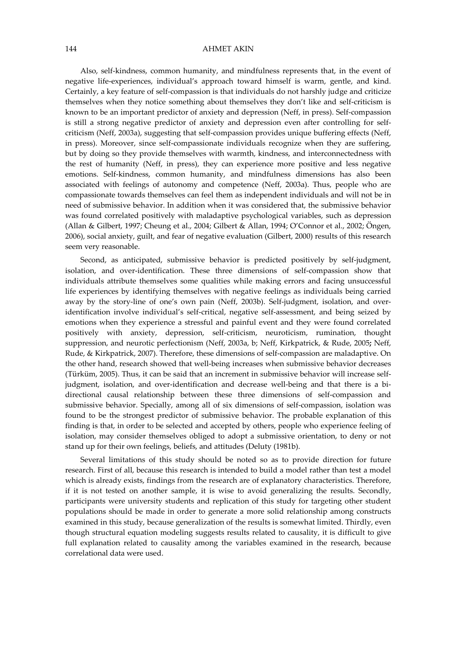### 144 AHMET AKIN

Also, self-kindness, common humanity, and mindfulness represents that, in the event of negative life-experiences, individual's approach toward himself is warm, gentle, and kind. Certainly, a key feature of self-compassion is that individuals do not harshly judge and criticize themselves when they notice something about themselves they don't like and self-criticism is known to be an important predictor of anxiety and depression (Neff, in press). Self-compassion is still a strong negative predictor of anxiety and depression even after controlling for selfcriticism (Neff, 2003a), suggesting that self-compassion provides unique buffering effects (Neff, in press). Moreover, since self-compassionate individuals recognize when they are suffering, but by doing so they provide themselves with warmth, kindness, and interconnectedness with the rest of humanity (Neff, in press), they can experience more positive and less negative emotions. Self-kindness, common humanity, and mindfulness dimensions has also been associated with feelings of autonomy and competence (Neff, 2003a). Thus, people who are compassionate towards themselves can feel them as independent individuals and will not be in need of submissive behavior. In addition when it was considered that, the submissive behavior was found correlated positively with maladaptive psychological variables, such as depression (Allan & Gilbert, 1997; Cheung et al., 2004; Gilbert & Allan, 1994; O'Connor et al., 2002; Öngen, 2006), social anxiety, guilt, and fear of negative evaluation (Gilbert, 2000) results of this research seem very reasonable.

Second, as anticipated, submissive behavior is predicted positively by self-judgment, isolation, and over-identification. These three dimensions of self-compassion show that individuals attribute themselves some qualities while making errors and facing unsuccessful life experiences by identifying themselves with negative feelings as individuals being carried away by the story-line of one's own pain (Neff, 2003b). Self-judgment, isolation, and overidentification involve individual's self-critical, negative self-assessment, and being seized by emotions when they experience a stressful and painful event and they were found correlated positively with anxiety, depression, self-criticism, neuroticism, rumination, thought suppression, and neurotic perfectionism (Neff, 2003a, b; Neff, Kirkpatrick, & Rude, 2005; Neff, Rude, & Kirkpatrick, 2007). Therefore, these dimensions of self-compassion are maladaptive. On the other hand, research showed that well-being increases when submissive behavior decreases (Türküm, 2005). Thus, it can be said that an increment in submissive behavior will increase selfjudgment, isolation, and over-identification and decrease well-being and that there is a bidirectional causal relationship between these three dimensions of self-compassion and submissive behavior. Specially, among all of six dimensions of self-compassion, isolation was found to be the strongest predictor of submissive behavior. The probable explanation of this finding is that, in order to be selected and accepted by others, people who experience feeling of isolation, may consider themselves obliged to adopt a submissive orientation, to deny or not stand up for their own feelings, beliefs, and attitudes (Deluty (1981b).

Several limitations of this study should be noted so as to provide direction for future research. First of all, because this research is intended to build a model rather than test a model which is already exists, findings from the research are of explanatory characteristics. Therefore, if it is not tested on another sample, it is wise to avoid generalizing the results. Secondly, participants were university students and replication of this study for targeting other student populations should be made in order to generate a more solid relationship among constructs examined in this study, because generalization of the results is somewhat limited. Thirdly, even though structural equation modeling suggests results related to causality, it is difficult to give full explanation related to causality among the variables examined in the research, because correlational data were used.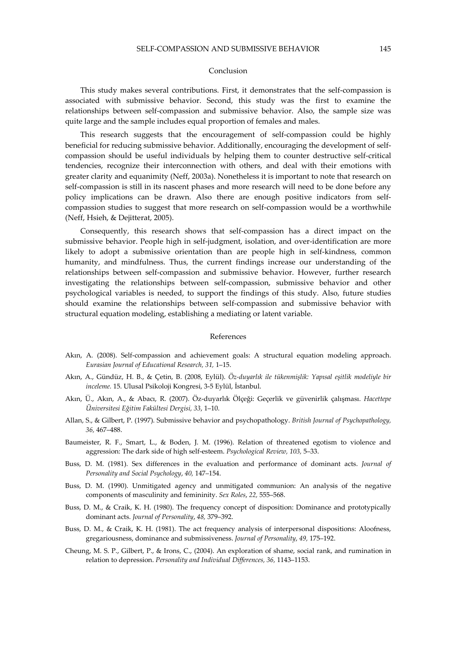### Conclusion

This study makes several contributions. First, it demonstrates that the self-compassion is associated with submissive behavior. Second, this study was the first to examine the relationships between self-compassion and submissive behavior. Also, the sample size was quite large and the sample includes equal proportion of females and males.

This research suggests that the encouragement of self-compassion could be highly beneficial for reducing submissive behavior. Additionally, encouraging the development of selfcompassion should be useful individuals by helping them to counter destructive self-critical tendencies, recognize their interconnection with others, and deal with their emotions with greater clarity and equanimity (Neff, 2003a). Nonetheless it is important to note that research on self-compassion is still in its nascent phases and more research will need to be done before any policy implications can be drawn. Also there are enough positive indicators from selfcompassion studies to suggest that more research on self-compassion would be a worthwhile (Neff, Hsieh, & Dejitterat, 2005).

Consequently, this research shows that self-compassion has a direct impact on the submissive behavior. People high in self-judgment, isolation, and over-identification are more likely to adopt a submissive orientation than are people high in self-kindness, common humanity, and mindfulness. Thus, the current findings increase our understanding of the relationships between self-compassion and submissive behavior. However, further research investigating the relationships between self-compassion, submissive behavior and other psychological variables is needed, to support the findings of this study. Also, future studies should examine the relationships between self-compassion and submissive behavior with structural equation modeling, establishing a mediating or latent variable.

#### References

- Akın, A. (2008). Self-compassion and achievement goals: A structural equation modeling approach. Eurasian Journal of Educational Research, 31, 1–15.
- Akın, A., Gündüz, H. B., & Çetin, B. (2008, Eylül). Öz-duyarlık ile tükenmişlik: Yapısal eşitlik modeliyle bir inceleme. 15. Ulusal Psikoloji Kongresi, 3-5 Eylül, İstanbul.
- Akın, Ü., Akın, A., & Abacı, R. (2007). Öz-duyarlık Ölçeği: Geçerlik ve güvenirlik çalışması. Hacettepe Üniversitesi Eğitim Fakültesi Dergisi, 33, 1–10.
- Allan, S., & Gilbert, P. (1997). Submissive behavior and psychopathology. British Journal of Psychopathology, 36, 467–488.
- Baumeister, R. F., Smart, L., & Boden, J. M. (1996). Relation of threatened egotism to violence and aggression: The dark side of high self-esteem. Psychological Review, 103, 5–33.
- Buss, D. M. (1981). Sex differences in the evaluation and performance of dominant acts. Journal of Personality and Social Psychology, 40, 147–154.
- Buss, D. M. (1990). Unmitigated agency and unmitigated communion: An analysis of the negative components of masculinity and femininity. Sex Roles, 22, 555–568.
- Buss, D. M., & Craik, K. H. (1980). The frequency concept of disposition: Dominance and prototypically dominant acts. Journal of Personality, 48, 379–392.
- Buss, D. M., & Craik, K. H. (1981). The act frequency analysis of interpersonal dispositions: Aloofness, gregariousness, dominance and submissiveness. Journal of Personality, 49, 175–192.
- Cheung, M. S. P., Gilbert, P., & Irons, C., (2004). An exploration of shame, social rank, and rumination in relation to depression. Personality and Individual Differences, 36, 1143–1153.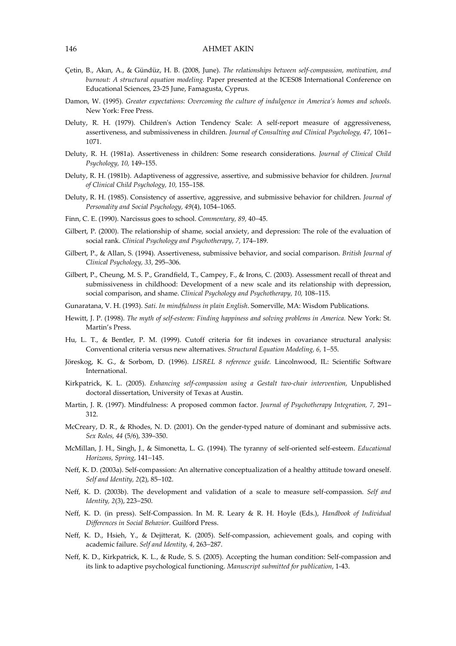- Çetin, B., Akın, A., & Gündüz, H. B. (2008, June). The relationships between self-compassion, motivation, and burnout: A structural equation modeling. Paper presented at the ICES08 International Conference on Educational Sciences, 23-25 June, Famagusta, Cyprus.
- Damon, W. (1995). Greater expectations: Overcoming the culture of indulgence in America's homes and schools. New York: Free Press.
- Deluty, R. H. (1979). Children's Action Tendency Scale: A self-report measure of aggressiveness, assertiveness, and submissiveness in children. Journal of Consulting and Clinical Psychology, 47, 1061– 1071.
- Deluty, R. H. (1981a). Assertiveness in children: Some research considerations. Journal of Clinical Child Psychology, 10, 149–155.
- Deluty, R. H. (1981b). Adaptiveness of aggressive, assertive, and submissive behavior for children. Journal of Clinical Child Psychology, 10, 155–158.
- Deluty, R. H. (1985). Consistency of assertive, aggressive, and submissive behavior for children. Journal of Personality and Social Psychology, 49(4), 1054–1065.
- Finn, C. E. (1990). Narcissus goes to school. Commentary, 89, 40−45.
- Gilbert, P. (2000). The relationship of shame, social anxiety, and depression: The role of the evaluation of social rank. Clinical Psychology and Psychotherapy, 7, 174–189.
- Gilbert, P., & Allan, S. (1994). Assertiveness, submissive behavior, and social comparison. British Journal of Clinical Psychology, 33, 295–306.
- Gilbert, P., Cheung, M. S. P., Grandfield, T., Campey, F., & Irons, C. (2003). Assessment recall of threat and submissiveness in childhood: Development of a new scale and its relationship with depression, social comparison, and shame. Clinical Psychology and Psychotherapy, 10, 108–115.
- Gunaratana, V. H. (1993). Sati. In mindfulness in plain English. Somerville, MA: Wisdom Publications.
- Hewitt, J. P. (1998). The myth of self-esteem: Finding happiness and solving problems in America. New York: St. Martin's Press.
- Hu, L. T., & Bentler, P. M. (1999). Cutoff criteria for fit indexes in covariance structural analysis: Conventional criteria versus new alternatives. Structural Equation Modeling, 6, 1−55.
- Jöreskog, K. G., & Sorbom, D. (1996). LISREL 8 reference guide. Lincolnwood, IL: Scientific Software International.
- Kirkpatrick, K. L. (2005). Enhancing self-compassion using a Gestalt two-chair intervention, Unpublished doctoral dissertation, University of Texas at Austin.
- Martin, J. R. (1997). Mindfulness: A proposed common factor. Journal of Psychotherapy Integration, 7, 291– 312.
- McCreary, D. R., & Rhodes, N. D. (2001). On the gender-typed nature of dominant and submissive acts. Sex Roles, 44 (5/6), 339–350.
- McMillan, J. H., Singh, J., & Simonetta, L. G. (1994). The tyranny of self-oriented self-esteem. Educational Horizons, Spring, 141−145.
- Neff, K. D. (2003a). Self-compassion: An alternative conceptualization of a healthy attitude toward oneself. Self and Identity, 2(2), 85−102.
- Neff, K. D. (2003b). The development and validation of a scale to measure self-compassion. Self and Identity, 2(3), 223−250.
- Neff, K. D. (in press). Self-Compassion. In M. R. Leary & R. H. Hoyle (Eds.), Handbook of Individual Differences in Social Behavior. Guilford Press.
- Neff, K. D., Hsieh, Y., & Dejitterat, K. (2005). Self-compassion, achievement goals, and coping with academic failure. Self and Identity, 4, 263−287.
- Neff, K. D., Kirkpatrick, K. L., & Rude, S. S. (2005). Accepting the human condition: Self-compassion and its link to adaptive psychological functioning. Manuscript submitted for publication, 1-43.